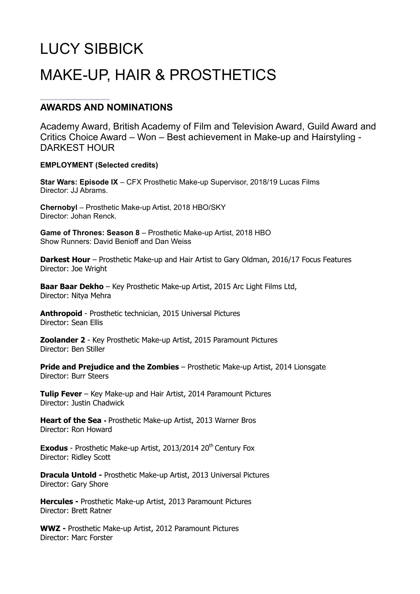# LUCY SIBBICK MAKE-UP, HAIR & PROSTHETICS

## **AWARDS AND NOMINATIONS**

Academy Award, British Academy of Film and Television Award, Guild Award and Critics Choice Award – Won – Best achievement in Make-up and Hairstyling - DARKEST HOUR

### **EMPLOYMENT (Selected credits)**

**Star Wars: Episode IX** – CFX Prosthetic Make-up Supervisor, 2018/19 Lucas Films Director: **JJ Abrams** 

**Chernobyl** – Prosthetic Make-up Artist, 2018 HBO/SKY Director: Johan Renck.

**Game of Thrones: Season 8** – Prosthetic Make-up Artist, 2018 HBO Show Runners: David Benioff and Dan Weiss

**Darkest Hour** – Prosthetic Make-up and Hair Artist to Gary Oldman, 2016/17 Focus Features Director: Joe Wright

**Baar Baar Dekho** – Key Prosthetic Make-up Artist, 2015 Arc Light Films Ltd, Director: Nitya Mehra

**Anthropoid** - Prosthetic technician, 2015 Universal Pictures Director: Sean Ellis

**Zoolander 2** - Key Prosthetic Make-up Artist, 2015 Paramount Pictures Director: Ben Stiller

**Pride and Prejudice and the Zombies** – Prosthetic Make-up Artist, 2014 Lionsgate Director: Burr Steers

**Tulip Fever** – Key Make-up and Hair Artist, 2014 Paramount Pictures Director: Justin Chadwick

**Heart of the Sea -** Prosthetic Make-up Artist, 2013 Warner Bros Director: Ron Howard

**Exodus** - Prosthetic Make-up Artist, 2013/2014 20<sup>th</sup> Century Fox Director: Ridley Scott

**Dracula Untold -** Prosthetic Make-up Artist, 2013 Universal Pictures Director: Gary Shore

**Hercules -** Prosthetic Make-up Artist, 2013 Paramount Pictures Director: Brett Ratner

**WWZ -** Prosthetic Make-up Artist, 2012 Paramount Pictures Director: Marc Forster